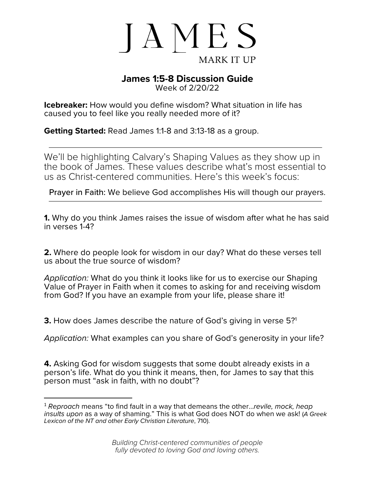

## **James 1:5-8 Discussion Guide**

Week of 2/20/22

**Icebreaker:** How would you define wisdom? What situation in life has caused you to feel like you really needed more of it?

**Getting Started:** Read James 1:1-8 and 3:13-18 as a group.

We'll be highlighting Calvary's Shaping Values as they show up in the book of James. These values describe what's most essential to us as Christ-centered communities. Here's this week's focus:

Prayer in Faith: We believe God accomplishes His will though our prayers.

**1.** Why do you think James raises the issue of wisdom after what he has said in verses 1-4?

**2.** Where do people look for wisdom in our day? What do these verses tell us about the true source of wisdom?

*Application:* What do you think it looks like for us to exercise our Shaping Value of Prayer in Faith when it comes to asking for and receiving wisdom from God? If you have an example from your life, please share it!

**3.** How does James describe the nature of God's giving in verse 5?<sup>1</sup>

*Application:* What examples can you share of God's generosity in your life?

**4.** Asking God for wisdom suggests that some doubt already exists in a person's life. What do you think it means, then, for James to say that this person must "ask in faith, with no doubt"?

<sup>1</sup> *Reproach* means "to find fault in a way that demeans the other…*revile, mock, heap insults upon* as a way of shaming." This is what God does NOT do when we ask! (*A Greek Lexicon of the NT and other Early Christian Literature*, 710).